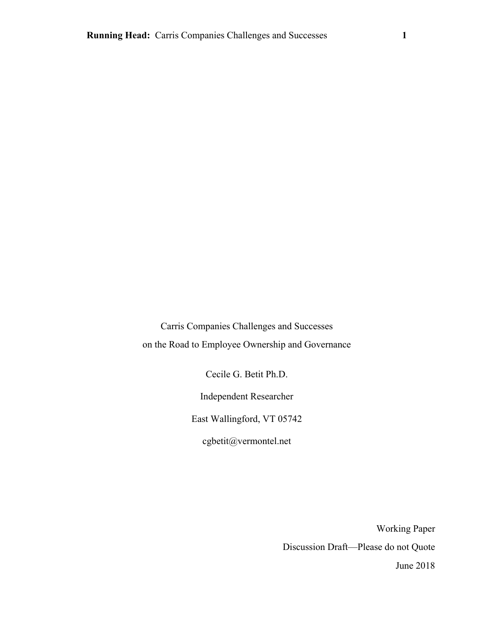Carris Companies Challenges and Successes on the Road to Employee Ownership and Governance

Cecile G. Betit Ph.D.

Independent Researcher

East Wallingford, VT 05742

cgbetit@vermontel.net

Working Paper Discussion Draft—Please do not Quote June 2018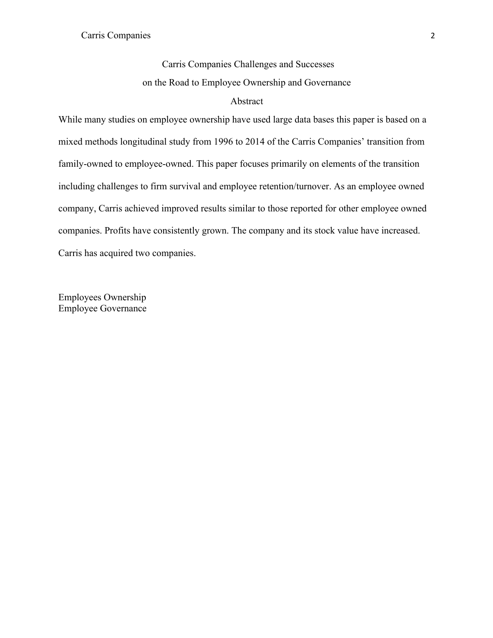# Carris Companies Challenges and Successes on the Road to Employee Ownership and Governance

# Abstract

While many studies on employee ownership have used large data bases this paper is based on a mixed methods longitudinal study from 1996 to 2014 of the Carris Companies' transition from family-owned to employee-owned. This paper focuses primarily on elements of the transition including challenges to firm survival and employee retention/turnover. As an employee owned company, Carris achieved improved results similar to those reported for other employee owned companies. Profits have consistently grown. The company and its stock value have increased. Carris has acquired two companies.

Employees Ownership Employee Governance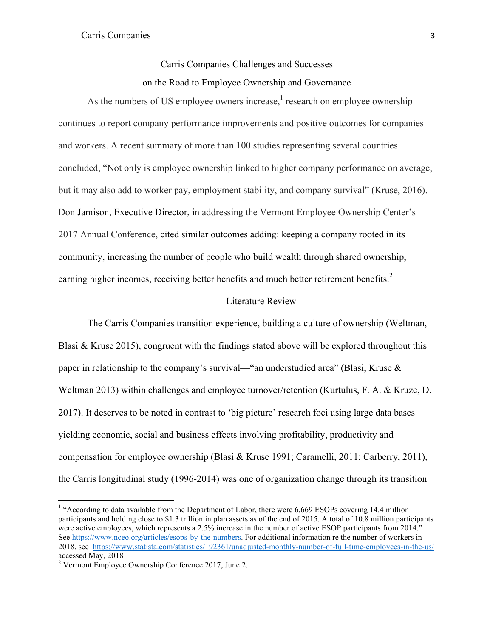# Carris Companies Challenges and Successes on the Road to Employee Ownership and Governance

As the numbers of US employee owners increase, $<sup>1</sup>$  research on employee ownership</sup> continues to report company performance improvements and positive outcomes for companies and workers. A recent summary of more than 100 studies representing several countries concluded, "Not only is employee ownership linked to higher company performance on average, but it may also add to worker pay, employment stability, and company survival" (Kruse, 2016). Don Jamison, Executive Director, in addressing the Vermont Employee Ownership Center's 2017 Annual Conference, cited similar outcomes adding: keeping a company rooted in its community, increasing the number of people who build wealth through shared ownership, earning higher incomes, receiving better benefits and much better retirement benefits.<sup>2</sup>

# Literature Review

The Carris Companies transition experience, building a culture of ownership (Weltman, Blasi & Kruse 2015), congruent with the findings stated above will be explored throughout this paper in relationship to the company's survival—"an understudied area" (Blasi, Kruse  $\&$ Weltman 2013) within challenges and employee turnover/retention (Kurtulus, F. A. & Kruze, D. 2017). It deserves to be noted in contrast to 'big picture' research foci using large data bases yielding economic, social and business effects involving profitability, productivity and compensation for employee ownership (Blasi & Kruse 1991; Caramelli, 2011; Carberry, 2011), the Carris longitudinal study (1996-2014) was one of organization change through its transition

<u> Andrew Maria (1989)</u>

 $1$  "According to data available from the Department of Labor, there were 6,669 ESOPs covering 14.4 million participants and holding close to \$1.3 trillion in plan assets as of the end of 2015. A total of 10.8 million participants were active employees, which represents a 2.5% increase in the number of active ESOP participants from 2014." See https://www.nceo.org/articles/esops-by-the-numbers. For additional information re the number of workers in 2018, see https://www.statista.com/statistics/192361/unadjusted-monthly-number-of-full-time-employees-in-the-us/ accessed May, 2018

<sup>2</sup> Vermont Employee Ownership Conference 2017, June 2.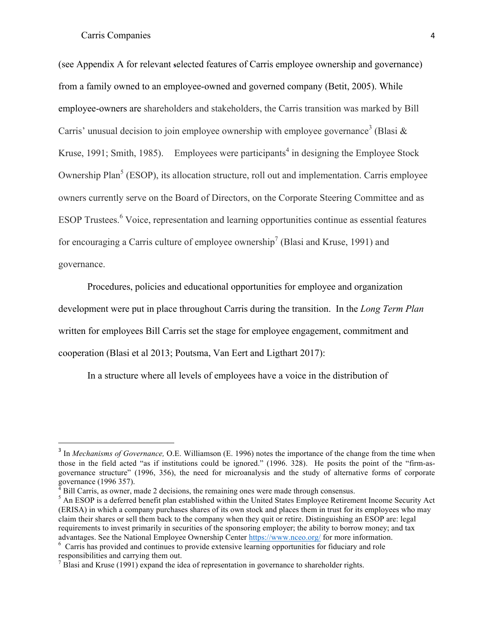(see Appendix A for relevant **s**elected features of Carris employee ownership and governance) from a family owned to an employee-owned and governed company (Betit, 2005). While employee-owners are shareholders and stakeholders, the Carris transition was marked by Bill Carris' unusual decision to join employee ownership with employee governance<sup>3</sup> (Blasi  $\&$ Kruse, 1991; Smith, 1985). Employees were participants<sup>4</sup> in designing the Employee Stock Ownership Plan<sup>5</sup> (ESOP), its allocation structure, roll out and implementation. Carris employee owners currently serve on the Board of Directors, on the Corporate Steering Committee and as ESOP Trustees.<sup>6</sup> Voice, representation and learning opportunities continue as essential features for encouraging a Carris culture of employee ownership<sup>7</sup> (Blasi and Kruse, 1991) and governance.

Procedures, policies and educational opportunities for employee and organization development were put in place throughout Carris during the transition. In the *Long Term Plan* written for employees Bill Carris set the stage for employee engagement, commitment and cooperation (Blasi et al 2013; Poutsma, Van Eert and Ligthart 2017):

In a structure where all levels of employees have a voice in the distribution of

<sup>3</sup> In *Mechanisms of Governance,* O.E. Williamson (E. 1996) notes the importance of the change from the time when those in the field acted "as if institutions could be ignored." (1996. 328). He posits the point of the "firm-asgovernance structure" (1996, 356), the need for microanalysis and the study of alternative forms of corporate governance (1996 357).

 $4$  Bill Carris, as owner, made 2 decisions, the remaining ones were made through consensus.

<sup>&</sup>lt;sup>5</sup> An ESOP is a deferred benefit plan established within the United States Employee Retirement Income Security Act (ERISA) in which a company purchases shares of its own stock and places them in trust for its employees who may claim their shares or sell them back to the company when they quit or retire. Distinguishing an ESOP are: legal requirements to invest primarily in securities of the sponsoring employer; the ability to borrow money; and tax advantages. See the National Employee Ownership Center https://www.nceo.org/ for more information. 6

 $6\sigma$  Carris has provided and continues to provide extensive learning opportunities for fiduciary and role responsibilities and carrying them out.

 $<sup>7</sup>$  Blasi and Kruse (1991) expand the idea of representation in governance to shareholder rights.</sup>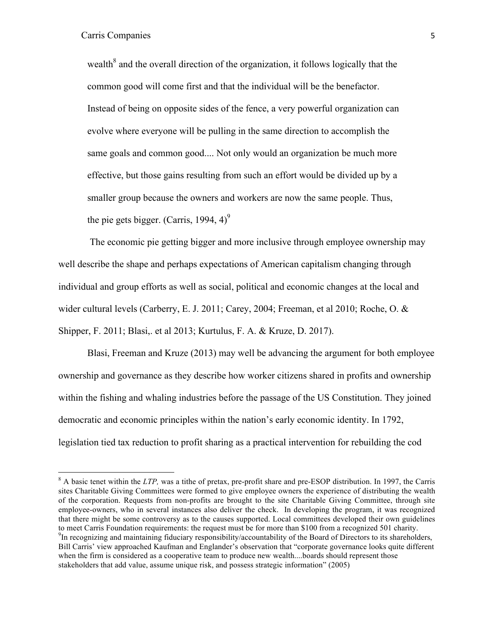<u> Andrew Maria (1989)</u>

wealth $^8$  and the overall direction of the organization, it follows logically that the common good will come first and that the individual will be the benefactor. Instead of being on opposite sides of the fence, a very powerful organization can evolve where everyone will be pulling in the same direction to accomplish the same goals and common good.... Not only would an organization be much more effective, but those gains resulting from such an effort would be divided up by a smaller group because the owners and workers are now the same people. Thus, the pie gets bigger. (Carris, 1994, 4)<sup>9</sup>

The economic pie getting bigger and more inclusive through employee ownership may well describe the shape and perhaps expectations of American capitalism changing through individual and group efforts as well as social, political and economic changes at the local and wider cultural levels (Carberry, E. J. 2011; Carey, 2004; Freeman, et al 2010; Roche, O. & Shipper, F. 2011; Blasi,. et al 2013; Kurtulus, F. A. & Kruze, D. 2017).

Blasi, Freeman and Kruze (2013) may well be advancing the argument for both employee ownership and governance as they describe how worker citizens shared in profits and ownership within the fishing and whaling industries before the passage of the US Constitution. They joined democratic and economic principles within the nation's early economic identity. In 1792, legislation tied tax reduction to profit sharing as a practical intervention for rebuilding the cod

<sup>8</sup> A basic tenet within the *LTP,* was a tithe of pretax, pre-profit share and pre-ESOP distribution. In 1997, the Carris sites Charitable Giving Committees were formed to give employee owners the experience of distributing the wealth of the corporation. Requests from non-profits are brought to the site Charitable Giving Committee, through site employee-owners, who in several instances also deliver the check. In developing the program, it was recognized that there might be some controversy as to the causes supported. Local committees developed their own guidelines to meet Carris Foundation requirements: the request must be for more than \$100 from a recognized 501 charity. <sup>9</sup>In recognizing and maintaining fiduciary responsibility/accountability of the Board of Directors to its shareholders,

Bill Carris' view approached Kaufman and Englander's observation that "corporate governance looks quite different when the firm is considered as a cooperative team to produce new wealth....boards should represent those stakeholders that add value, assume unique risk, and possess strategic information" (2005)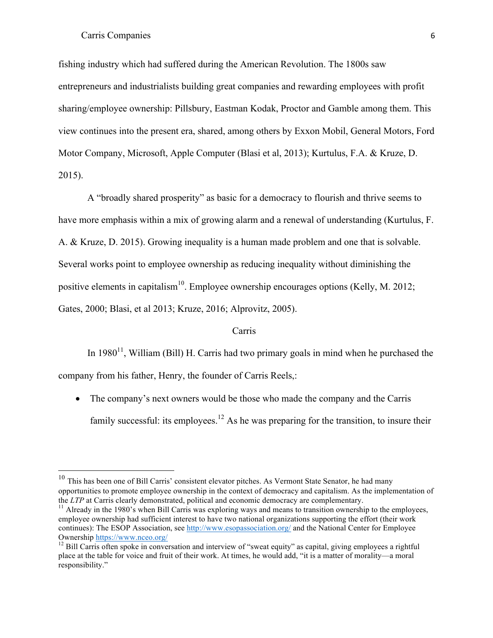fishing industry which had suffered during the American Revolution. The 1800s saw entrepreneurs and industrialists building great companies and rewarding employees with profit sharing/employee ownership: Pillsbury, Eastman Kodak, Proctor and Gamble among them. This view continues into the present era, shared, among others by Exxon Mobil, General Motors, Ford Motor Company, Microsoft, Apple Computer (Blasi et al, 2013); Kurtulus, F.A. & Kruze, D. 2015).

A "broadly shared prosperity" as basic for a democracy to flourish and thrive seems to have more emphasis within a mix of growing alarm and a renewal of understanding (Kurtulus, F. A. & Kruze, D. 2015). Growing inequality is a human made problem and one that is solvable. Several works point to employee ownership as reducing inequality without diminishing the positive elements in capitalism<sup>10</sup>. Employee ownership encourages options (Kelly, M. 2012; Gates, 2000; Blasi, et al 2013; Kruze, 2016; Alprovitz, 2005).

# Carris

In  $1980<sup>11</sup>$ , William (Bill) H. Carris had two primary goals in mind when he purchased the company from his father, Henry, the founder of Carris Reels,:

• The company's next owners would be those who made the company and the Carris family successful: its employees.<sup>12</sup> As he was preparing for the transition, to insure their

<sup>&</sup>lt;sup>10</sup> This has been one of Bill Carris' consistent elevator pitches. As Vermont State Senator, he had many opportunities to promote employee ownership in the context of democracy and capitalism. As the implementation of the *LTP* at Carris clearly demonstrated, political and economic democracy are complementary.<br><sup>11</sup> Already in the 1980's when Bill Carris was exploring ways and means to transition ownership to the employees,

employee ownership had sufficient interest to have two national organizations supporting the effort (their work continues): The ESOP Association, see http://www.esopassociation.org/ and the National Center for Employee Ownership https://www.nceo.org/<br><sup>12</sup> Bill Carris often spoke in conversation and interview of "sweat equity" as capital, giving employees a rightful

place at the table for voice and fruit of their work. At times, he would add, "it is a matter of morality—a moral responsibility."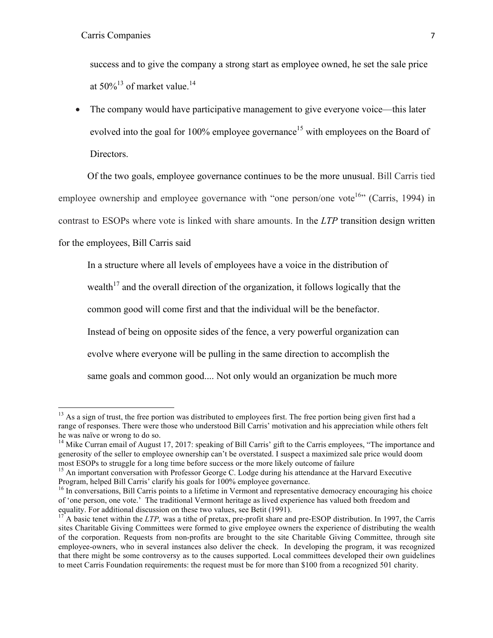<u> Andrew Maria (1989)</u>

success and to give the company a strong start as employee owned, he set the sale price at 50%<sup>13</sup> of market value.<sup>14</sup>

• The company would have participative management to give everyone voice—this later evolved into the goal for 100% employee governance<sup>15</sup> with employees on the Board of Directors.

Of the two goals, employee governance continues to be the more unusual. Bill Carris tied employee ownership and employee governance with "one person/one vote<sup>16</sup>" (Carris, 1994) in contrast to ESOPs where vote is linked with share amounts. In the *LTP* transition design written for the employees, Bill Carris said

In a structure where all levels of employees have a voice in the distribution of wealth<sup>17</sup> and the overall direction of the organization, it follows logically that the common good will come first and that the individual will be the benefactor. Instead of being on opposite sides of the fence, a very powerful organization can evolve where everyone will be pulling in the same direction to accomplish the same goals and common good.... Not only would an organization be much more

 $13$  As a sign of trust, the free portion was distributed to employees first. The free portion being given first had a range of responses. There were those who understood Bill Carris' motivation and his appreciation while others felt he was naïve or wrong to do so.

<sup>&</sup>lt;sup>14</sup> Mike Curran email of August 17, 2017: speaking of Bill Carris' gift to the Carris employees, "The importance and generosity of the seller to employee ownership can't be overstated. I suspect a maximized sale price would doom most ESOPs to struggle for a long time before success or the more likely outcome of failure

<sup>&</sup>lt;sup>15</sup> An important conversation with Professor George C. Lodge during his attendance at the Harvard Executive Program, helped Bill Carris' clarify his goals for 100% employee governance.

<sup>&</sup>lt;sup>16</sup> In conversations, Bill Carris points to a lifetime in Vermont and representative democracy encouraging his choice of 'one person, one vote.' The traditional Vermont heritage as lived experience has valued both freedom and equality. For additional discussion on these two values, see Betit (1991).

<sup>17</sup> A basic tenet within the *LTP,* was a tithe of pretax, pre-profit share and pre-ESOP distribution. In 1997, the Carris sites Charitable Giving Committees were formed to give employee owners the experience of distributing the wealth of the corporation. Requests from non-profits are brought to the site Charitable Giving Committee, through site employee-owners, who in several instances also deliver the check. In developing the program, it was recognized that there might be some controversy as to the causes supported. Local committees developed their own guidelines to meet Carris Foundation requirements: the request must be for more than \$100 from a recognized 501 charity.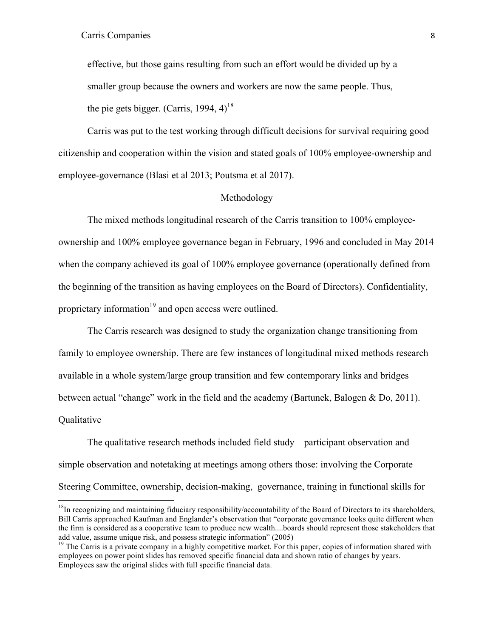<u> Andrew Maria (1989)</u>

effective, but those gains resulting from such an effort would be divided up by a smaller group because the owners and workers are now the same people. Thus, the pie gets bigger. (Carris, 1994, 4)<sup>18</sup>

Carris was put to the test working through difficult decisions for survival requiring good citizenship and cooperation within the vision and stated goals of 100% employee-ownership and employee-governance (Blasi et al 2013; Poutsma et al 2017).

### Methodology

The mixed methods longitudinal research of the Carris transition to 100% employeeownership and 100% employee governance began in February, 1996 and concluded in May 2014 when the company achieved its goal of 100% employee governance (operationally defined from the beginning of the transition as having employees on the Board of Directors). Confidentiality, proprietary information<sup>19</sup> and open access were outlined.

The Carris research was designed to study the organization change transitioning from family to employee ownership. There are few instances of longitudinal mixed methods research available in a whole system/large group transition and few contemporary links and bridges between actual "change" work in the field and the academy (Bartunek, Balogen & Do, 2011). **Oualitative** 

The qualitative research methods included field study—participant observation and simple observation and notetaking at meetings among others those: involving the Corporate Steering Committee, ownership, decision-making, governance, training in functional skills for

 $18$ In recognizing and maintaining fiduciary responsibility/accountability of the Board of Directors to its shareholders, Bill Carris approached Kaufman and Englander's observation that "corporate governance looks quite different when the firm is considered as a cooperative team to produce new wealth....boards should represent those stakeholders that add value, assume unique risk, and possess strategic information" (2005)<br><sup>19</sup> The Carris is a private company in a highly competitive market. For this paper, copies of information shared with

employees on power point slides has removed specific financial data and shown ratio of changes by years. Employees saw the original slides with full specific financial data.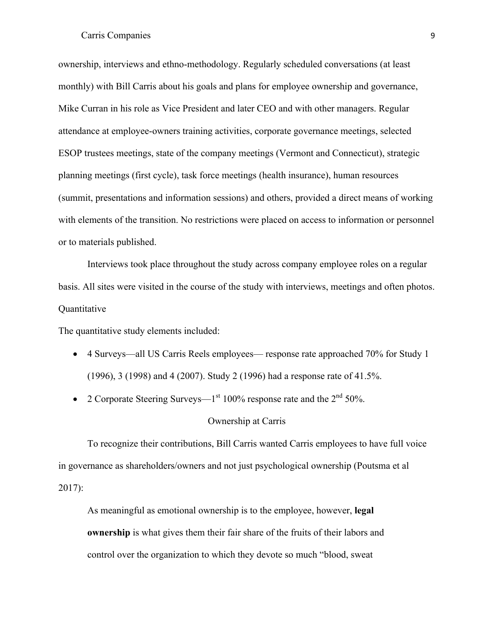ownership, interviews and ethno-methodology. Regularly scheduled conversations (at least monthly) with Bill Carris about his goals and plans for employee ownership and governance, Mike Curran in his role as Vice President and later CEO and with other managers. Regular attendance at employee-owners training activities, corporate governance meetings, selected ESOP trustees meetings, state of the company meetings (Vermont and Connecticut), strategic planning meetings (first cycle), task force meetings (health insurance), human resources (summit, presentations and information sessions) and others, provided a direct means of working with elements of the transition. No restrictions were placed on access to information or personnel or to materials published.

Interviews took place throughout the study across company employee roles on a regular basis. All sites were visited in the course of the study with interviews, meetings and often photos. Quantitative

The quantitative study elements included:

- 4 Surveys—all US Carris Reels employees— response rate approached 70% for Study 1 (1996), 3 (1998) and 4 (2007). Study 2 (1996) had a response rate of 41.5%.
- 2 Corporate Steering Surveys— $1<sup>st</sup> 100\%$  response rate and the  $2<sup>nd</sup> 50\%$ .

# Ownership at Carris

To recognize their contributions, Bill Carris wanted Carris employees to have full voice in governance as shareholders/owners and not just psychological ownership (Poutsma et al 2017):

As meaningful as emotional ownership is to the employee, however, **legal ownership** is what gives them their fair share of the fruits of their labors and control over the organization to which they devote so much "blood, sweat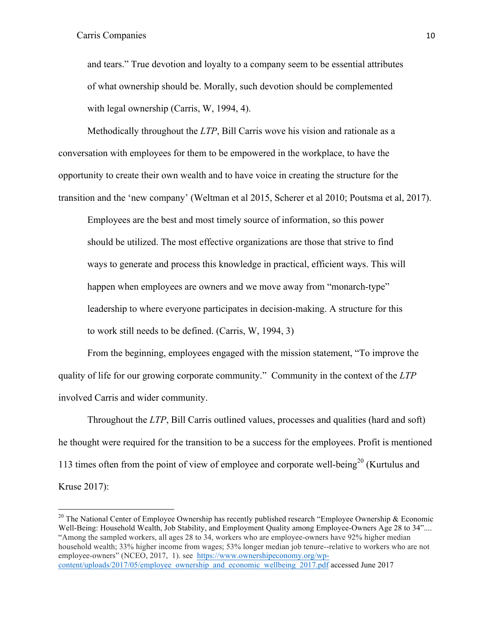<u> Andrew Maria (1989)</u>

and tears." True devotion and loyalty to a company seem to be essential attributes of what ownership should be. Morally, such devotion should be complemented with legal ownership (Carris, W, 1994, 4).

Methodically throughout the *LTP*, Bill Carris wove his vision and rationale as a conversation with employees for them to be empowered in the workplace, to have the opportunity to create their own wealth and to have voice in creating the structure for the transition and the 'new company' (Weltman et al 2015, Scherer et al 2010; Poutsma et al, 2017).

Employees are the best and most timely source of information, so this power should be utilized. The most effective organizations are those that strive to find ways to generate and process this knowledge in practical, efficient ways. This will happen when employees are owners and we move away from "monarch-type" leadership to where everyone participates in decision-making. A structure for this to work still needs to be defined. (Carris, W, 1994, 3)

From the beginning, employees engaged with the mission statement, "To improve the quality of life for our growing corporate community." Community in the context of the *LTP* involved Carris and wider community.

Throughout the *LTP*, Bill Carris outlined values, processes and qualities (hard and soft) he thought were required for the transition to be a success for the employees. Profit is mentioned 113 times often from the point of view of employee and corporate well-being<sup>20</sup> (Kurtulus and Kruse 2017):

<sup>&</sup>lt;sup>20</sup> The National Center of Employee Ownership has recently published research "Employee Ownership & Economic Well-Being: Household Wealth, Job Stability, and Employment Quality among Employee-Owners Age 28 to 34".... "Among the sampled workers, all ages 28 to 34, workers who are employee-owners have 92% higher median household wealth; 33% higher income from wages; 53% longer median job tenure--relative to workers who are not employee-owners" (NCEO, 2017, 1). see https://www.ownershipeconomy.org/wpcontent/uploads/2017/05/employee\_ownership\_and\_economic\_wellbeing\_2017.pdf accessed June 2017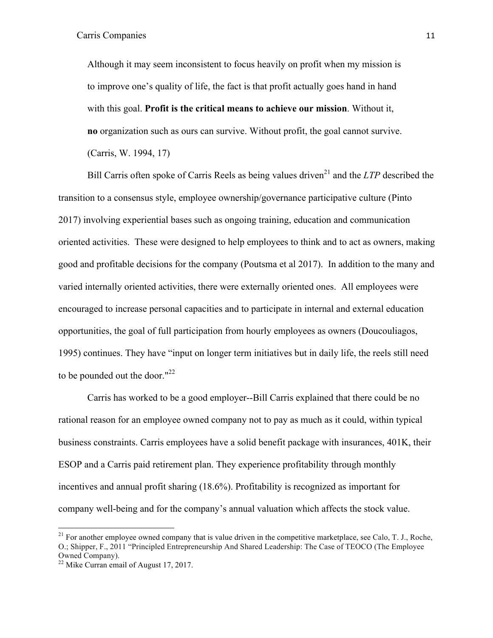Although it may seem inconsistent to focus heavily on profit when my mission is to improve one's quality of life, the fact is that profit actually goes hand in hand with this goal. **Profit is the critical means to achieve our mission**. Without it, **no** organization such as ours can survive. Without profit, the goal cannot survive. (Carris, W. 1994, 17)

Bill Carris often spoke of Carris Reels as being values driven<sup>21</sup> and the *LTP* described the transition to a consensus style, employee ownership/governance participative culture (Pinto 2017) involving experiential bases such as ongoing training, education and communication oriented activities. These were designed to help employees to think and to act as owners, making good and profitable decisions for the company (Poutsma et al 2017). In addition to the many and varied internally oriented activities, there were externally oriented ones. All employees were encouraged to increase personal capacities and to participate in internal and external education opportunities, the goal of full participation from hourly employees as owners (Doucouliagos, 1995) continues. They have "input on longer term initiatives but in daily life, the reels still need to be pounded out the door." $^{22}$ 

Carris has worked to be a good employer--Bill Carris explained that there could be no rational reason for an employee owned company not to pay as much as it could, within typical business constraints. Carris employees have a solid benefit package with insurances, 401K, their ESOP and a Carris paid retirement plan. They experience profitability through monthly incentives and annual profit sharing (18.6%). Profitability is recognized as important for company well-being and for the company's annual valuation which affects the stock value.

<u> Andrew Maria (1989)</u>

 $21$  For another employee owned company that is value driven in the competitive marketplace, see Calo, T. J., Roche, O.; Shipper, F., 2011 "Principled Entrepreneurship And Shared Leadership: The Case of TEOCO (The Employee Owned Company).

<sup>&</sup>lt;sup>22</sup> Mike Curran email of August 17, 2017.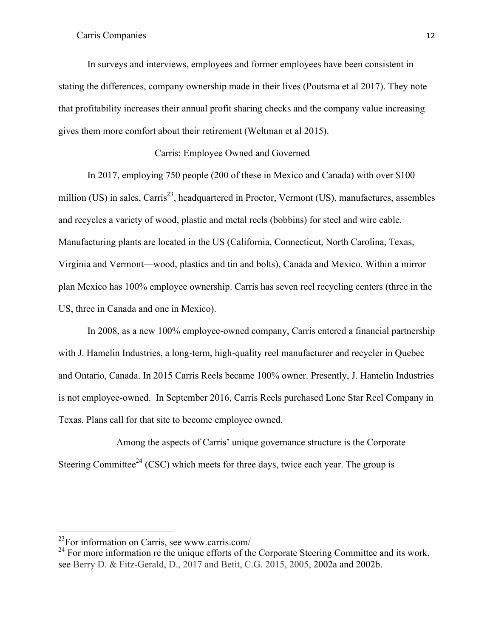In surveys and interviews, employees and former employees have been consistent in stating the differences, company ownership made in their lives (Poutsma et al 2017). They note that profitability increases their annual profit sharing checks and the company value increasing gives them more comfort about their retirement (Weltman et al 2015).

# Carris: Employee Owned and Governed

In 2017, employing 750 people (200 of these in Mexico and Canada) with over \$100 million (US) in sales, Carris<sup>23</sup>, headquartered in Proctor, Vermont (US), manufactures, assembles and recycles a variety of wood, plastic and metal reels (bobbins) for steel and wire cable. Manufacturing plants are located in the US (California, Connecticut, North Carolina, Texas, Virginia and Vermont—wood, plastics and tin and bolts), Canada and Mexico. Within a mirror plan Mexico has 100% employee ownership. Carris has seven reel recycling centers (three in the US, three in Canada and one in Mexico).

In 2008, as a new 100% employee-owned company, Carris entered a financial partnership with J. Hamelin Industries, a long-term, high-quality reel manufacturer and recycler in Quebec and Ontario, Canada. In 2015 Carris Reels became 100% owner. Presently, J. Hamelin Industries is not employee-owned. In September 2016, Carris Reels purchased Lone Star Reel Company in Texas. Plans call for that site to become employee owned.

Among the aspects of Carris' unique governance structure is the Corporate Steering Committee<sup>24</sup> (CSC) which meets for three days, twice each year. The group is

 23For information on Carris, see www.carris.com/

 $24$  For more information re the unique efforts of the Corporate Steering Committee and its work, see Berry D. & Fitz-Gerald, D., 2017 and Betit, C.G. 2015, 2005, 2002a and 2002b.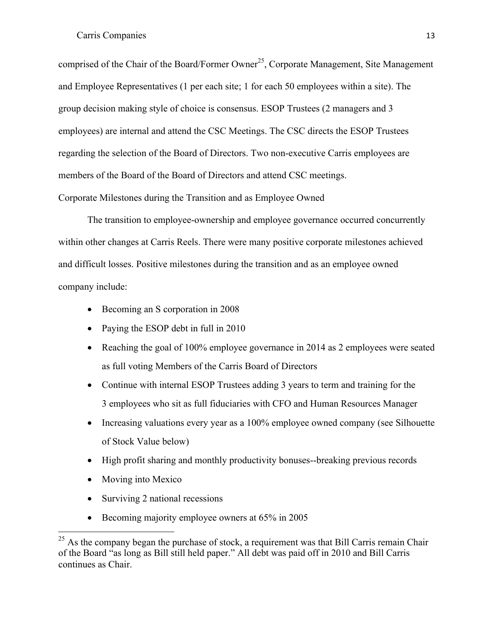comprised of the Chair of the Board/Former Owner<sup>25</sup>, Corporate Management, Site Management and Employee Representatives (1 per each site; 1 for each 50 employees within a site). The group decision making style of choice is consensus. ESOP Trustees (2 managers and 3 employees) are internal and attend the CSC Meetings. The CSC directs the ESOP Trustees regarding the selection of the Board of Directors. Two non-executive Carris employees are members of the Board of the Board of Directors and attend CSC meetings. Corporate Milestones during the Transition and as Employee Owned

The transition to employee-ownership and employee governance occurred concurrently within other changes at Carris Reels. There were many positive corporate milestones achieved and difficult losses. Positive milestones during the transition and as an employee owned company include:

- Becoming an S corporation in 2008
- Paying the ESOP debt in full in 2010
- Reaching the goal of 100% employee governance in 2014 as 2 employees were seated as full voting Members of the Carris Board of Directors
- Continue with internal ESOP Trustees adding 3 years to term and training for the 3 employees who sit as full fiduciaries with CFO and Human Resources Manager
- Increasing valuations every year as a 100% employee owned company (see Silhouette of Stock Value below)
- High profit sharing and monthly productivity bonuses--breaking previous records
- Moving into Mexico
- Surviving 2 national recessions
- Becoming majority employee owners at 65% in 2005

<sup>&</sup>lt;sup>25</sup> As the company began the purchase of stock, a requirement was that Bill Carris remain Chair of the Board "as long as Bill still held paper." All debt was paid off in 2010 and Bill Carris continues as Chair.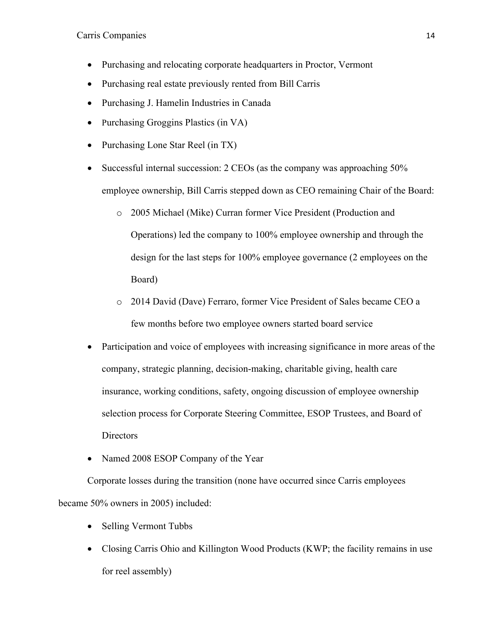- Purchasing and relocating corporate headquarters in Proctor, Vermont
- Purchasing real estate previously rented from Bill Carris
- Purchasing J. Hamelin Industries in Canada
- Purchasing Groggins Plastics (in VA)
- Purchasing Lone Star Reel (in TX)
- Successful internal succession: 2 CEOs (as the company was approaching 50% employee ownership, Bill Carris stepped down as CEO remaining Chair of the Board:
	- o 2005 Michael (Mike) Curran former Vice President (Production and Operations) led the company to 100% employee ownership and through the design for the last steps for 100% employee governance (2 employees on the Board)
	- o 2014 David (Dave) Ferraro, former Vice President of Sales became CEO a few months before two employee owners started board service
- Participation and voice of employees with increasing significance in more areas of the company, strategic planning, decision-making, charitable giving, health care insurance, working conditions, safety, ongoing discussion of employee ownership selection process for Corporate Steering Committee, ESOP Trustees, and Board of **Directors**
- Named 2008 ESOP Company of the Year

Corporate losses during the transition (none have occurred since Carris employees became 50% owners in 2005) included:

- Selling Vermont Tubbs
- Closing Carris Ohio and Killington Wood Products (KWP; the facility remains in use for reel assembly)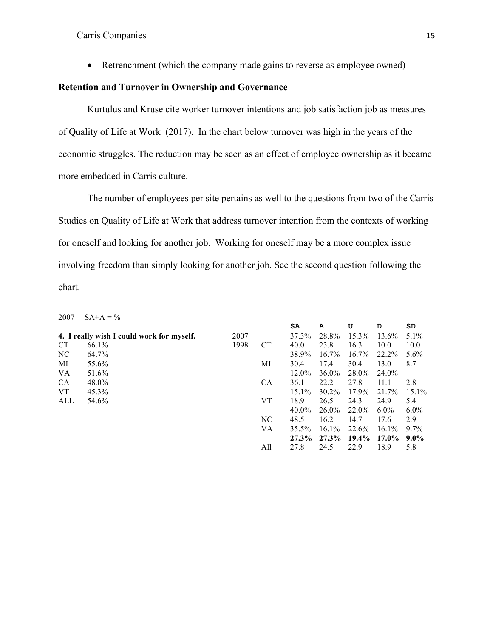• Retrenchment (which the company made gains to reverse as employee owned)

# **Retention and Turnover in Ownership and Governance**

Kurtulus and Kruse cite worker turnover intentions and job satisfaction job as measures of Quality of Life at Work (2017). In the chart below turnover was high in the years of the economic struggles. The reduction may be seen as an effect of employee ownership as it became more embedded in Carris culture.

The number of employees per site pertains as well to the questions from two of the Carris Studies on Quality of Life at Work that address turnover intention from the contexts of working for oneself and looking for another job. Working for oneself may be a more complex issue involving freedom than simply looking for another job. See the second question following the chart.

2007  $SA+A = \%$ 

|     |                                           |      |           | SA       | A        | U        | D        | SD      |
|-----|-------------------------------------------|------|-----------|----------|----------|----------|----------|---------|
|     | 4. I really wish I could work for myself. | 2007 |           | 37.3%    | 28.8%    | 15.3%    | 13.6%    | $5.1\%$ |
| СT  | 66.1%                                     | 1998 | <b>CT</b> | 40.0     | 23.8     | 16.3     | 10.0     | 10.0    |
| NC  | 64.7%                                     |      |           | 38.9%    | 16.7%    | 16.7%    | 22.2%    | $5.6\%$ |
| МI  | 55.6%                                     |      | МI        | 30.4     | 17.4     | 30.4     | 13.0     | 8.7     |
| VA  | 51.6%                                     |      |           | 12.0%    | 36.0%    | 28.0%    | 24.0%    |         |
| СA  | 48.0%                                     |      | <b>CA</b> | 36.1     | 22.2     | 27.8     | 11.1     | 2.8     |
| VT  | 45.3%                                     |      |           | $15.1\%$ | $30.2\%$ | 17.9%    | 21.7%    | 15.1%   |
| ALL | 54.6%                                     |      | <b>VT</b> | 18.9     | 26.5     | 24.3     | 24.9     | 5.4     |
|     |                                           |      |           | 40.0%    | $26.0\%$ | 22.0%    | $6.0\%$  | $6.0\%$ |
|     |                                           |      | NC        | 48.5     | 16.2     | 14.7     | 17.6     | 2.9     |
|     |                                           |      | VA        | 35.5%    | $16.1\%$ | 22.6%    | $16.1\%$ | $9.7\%$ |
|     |                                           |      |           | $27.3\%$ | $27.3\%$ | $19.4\%$ | $17.0\%$ | $9.0\%$ |
|     |                                           |      | All       | 27.8     | 24.5     | 22.9     | 18.9     | 5.8     |
|     |                                           |      |           |          |          |          |          |         |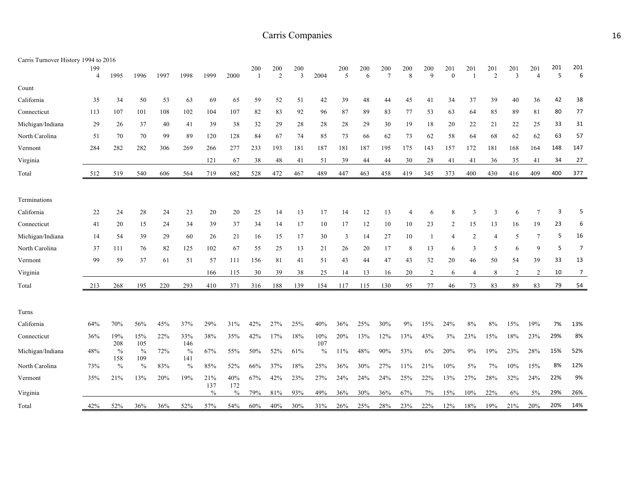| Carris Turnover History 1994 to 2016 |                       |                      |                      |      |                      |                      |             |                       |                       |                       |             |          |          |                        |                |                     |                 |                         |                         |                |                       |          |                |
|--------------------------------------|-----------------------|----------------------|----------------------|------|----------------------|----------------------|-------------|-----------------------|-----------------------|-----------------------|-------------|----------|----------|------------------------|----------------|---------------------|-----------------|-------------------------|-------------------------|----------------|-----------------------|----------|----------------|
|                                      | 199<br>$\overline{4}$ | 1995                 | 1996                 | 1997 | 1998                 | 1999                 | 2000        | 200<br>$\overline{1}$ | 200<br>$\overline{2}$ | 200<br>$\overline{3}$ | 2004        | 200<br>5 | 200<br>6 | 200<br>$7\phantom{.0}$ | 200<br>8       | 200<br>$\mathbf{Q}$ | 201<br>$\theta$ | 201                     | 201<br>$\overline{2}$   | 201<br>3       | 201<br>$\overline{4}$ | 201<br>5 | 201<br>6       |
| Count                                |                       |                      |                      |      |                      |                      |             |                       |                       |                       |             |          |          |                        |                |                     |                 |                         |                         |                |                       |          |                |
| California                           | 35                    | 34                   | 50                   | 53   | 63                   | 69                   | 65          | 59                    | 52                    | 51                    | 42          | 39       | 48       | 44                     | 45             | 41                  | 34              | 37                      | 39                      | 40             | 36                    | 42       | 38             |
| Connecticut                          | 113                   | 107                  | 101                  | 108  | 102                  | 104                  | 107         | 82                    | 83                    | 92                    | 96          | 87       | 89       | 83                     | 77             | 53                  | 63              | 64                      | 85                      | 89             | 81                    | 80       | 77             |
| Michigan/Indiana                     | 29                    | 26                   | 37                   | 40   | 41                   | 39                   | 38          | 32                    | 29                    | 28                    | 28          | 28       | 29       | 30                     | 19             | 18                  | 20              | 22                      | 21                      | 22             | 25                    | 33       | 31             |
| North Carolina                       | 51                    | 70                   | 70                   | 99   | 89                   | 120                  | 128         | 84                    | 67                    | 74                    | 85          | 73       | 66       | 62                     | 73             | 62                  | 58              | 64                      | 68                      | 62             | 62                    | 63       | 57             |
| Vermont                              | 284                   | 282                  | 282                  | 306  | 269                  | 266                  | 277         | 233                   | 193                   | 181                   | 187         | 181      | 187      | 195                    | 175            | 143                 | 157             | 172                     | 181                     | 168            | 164                   | 148      | 147            |
| Virginia                             |                       |                      |                      |      |                      | 121                  | 67          | 38                    | 48                    | 41                    | 51          | 39       | 44       | 44                     | 30             | 28                  | 41              | 41                      | 36                      | 35             | 41                    | 34       | 27             |
| Total                                | 512                   | 519                  | 540                  | 606  | 564                  | 719                  | 682         | 528                   | 472                   | 467                   | 489         | 447      | 463      | 458                    | 419            | 345                 | 373             | 400                     | 430                     | 416            | 409                   | 400      | 377            |
|                                      |                       |                      |                      |      |                      |                      |             |                       |                       |                       |             |          |          |                        |                |                     |                 |                         |                         |                |                       |          |                |
| Terminations                         |                       |                      |                      |      |                      |                      |             |                       |                       |                       |             |          |          |                        |                |                     |                 |                         |                         |                |                       |          |                |
| California                           | 22                    | 24                   | 28                   | 24   | 23                   | 20                   | 20          | 25                    | 14                    | 13                    | 17          | 14       | 12       | 13                     | $\overline{4}$ | 6                   | 8               | 3                       | $\overline{\mathbf{3}}$ | 6              | $\overline{7}$        | 3        | 5              |
| Connecticut                          | 41                    | 20                   | 15                   | 24   | 34                   | 39                   | 37          | 34                    | 14                    | 17                    | 10          | 17       | 12       | 10                     | 10             | 23                  | 2               | 15                      | 13                      | 16             | 19                    | 23       | 6              |
| Michigan/Indiana                     | 14                    | 54                   | 39                   | 29   | 60                   | 26                   | 21          | 16                    | 15                    | 17                    | 30          | 3        | 14       | 27                     | 10             | 1                   | $\overline{4}$  | $\overline{c}$          | $\overline{4}$          | 5              | $\overline{7}$        | 5        | 16             |
| North Carolina                       | 37                    | 111                  | 76                   | 82   | 125                  | 102                  | 67          | 55                    | 25                    | 13                    | 21          | 26       | 20       | 17                     | 8              | 13                  | 6               | $\overline{\mathbf{3}}$ | 5                       | 6              | 9                     | 5        | $\overline{7}$ |
| Vermont                              | 99                    | 59                   | 37                   | 61   | 51                   | 57                   | 111         | 156                   | 81                    | 41                    | 51          | 43       | 44       | 47                     | 43             | 32                  | 20              | 46                      | 50                      | 54             | 39                    | 33       | 13             |
| Virginia                             |                       |                      |                      |      |                      | 166                  | 115         | 30                    | 39                    | 38                    | 25          | 14       | 13       | 16                     | 20             | 2                   | 6               | $\overline{4}$          | 8                       | $\overline{2}$ | 2                     | 10       | $\overline{7}$ |
| Total                                | 213                   | 268                  | 195                  | 220  | 293                  | 410                  | 371         | 316                   | 188                   | 139                   | 154         | 117      | 115      | 130                    | 95             | 77                  | 46              | 73                      | 83                      | 89             | 83                    | 79       | 54             |
|                                      |                       |                      |                      |      |                      |                      |             |                       |                       |                       |             |          |          |                        |                |                     |                 |                         |                         |                |                       |          |                |
| Turns                                |                       |                      |                      |      |                      |                      |             |                       |                       |                       |             |          |          |                        |                |                     |                 |                         |                         |                |                       |          |                |
| California                           | 64%                   | 70%                  | 56%                  | 45%  | 37%                  | 29%                  | 31%         | 42%                   | 27%                   | 25%                   | 40%         | 36%      | 25%      | 30%                    | 9%             | 15%                 | 24%             | 8%                      | 8%                      | 15%            | 19%                   | 7%       | 13%            |
| Connecticut                          | 36%                   | 19%                  | 15%                  | 22%  | 33%                  | 38%                  | 35%         | 42%                   | 17%                   | 18%                   | 10%         | 20%      | 13%      | 12%                    | 13%            | 43%                 | 3%              | 23%                     | 15%                     | $18\%$         | 23%                   | 29%      | 8%             |
| Michigan/Indiana                     | 48%                   | 208<br>$\%$          | 105<br>$\frac{0}{0}$ | 72%  | 146<br>$\frac{0}{0}$ | 67%                  | 55%         | 50%                   | 52%                   | 61%                   | 107<br>$\%$ | $11\%$   | 48%      | 90%                    | 53%            | 6%                  | 20%             | 9%                      | 19%                     | 23%            | 28%                   | 15%      | 52%            |
| North Carolina                       | 73%                   | 158<br>$\frac{0}{0}$ | 109<br>$\frac{0}{0}$ | 83%  | 141<br>$\frac{0}{0}$ | 85%                  | 52%         | 66%                   | 37%                   | 18%                   | 25%         | 36%      | 30%      | 27%                    | 11%            | 21%                 | 10%             | 5%                      | 7%                      | 10%            | 15%                   | 8%       | 12%            |
| Vermont                              | 35%                   | 21%                  | 13%                  | 20%  | 19%                  | 21%                  | $40\%$      | 67%                   | 42%                   | 23%                   | 27%         | 24%      | 24%      | 24%                    | 25%            | 22%                 | 13%             | 27%                     | 28%                     | 32%            | 24%                   | 22%      | 9%             |
| Virginia                             |                       |                      |                      |      |                      | 137<br>$\frac{0}{0}$ | 172<br>$\%$ | 79%                   | 81%                   | 93%                   | 49%         | 36%      | 30%      | 36%                    | 67%            | 7%                  | 15%             | 10%                     | 22%                     | 6%             | 5%                    | 29%      | 26%            |
| Total                                | 42%                   | 52%                  | 36%                  | 36%  | 52%                  | 57%                  | 54%         | 60%                   | 40%                   | 30%                   | 31%         | 26%      | 25%      | 28%                    | 23%            | 22%                 | 12%             | 18%                     | 19%                     | 21%            | 20%                   | 20%      | 14%            |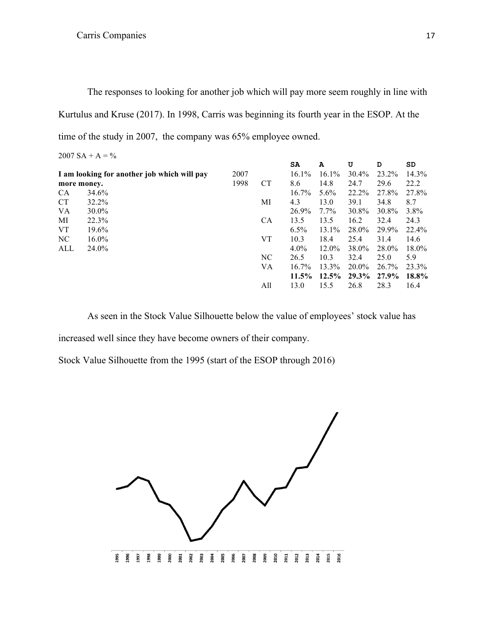The responses to looking for another job which will pay more seem roughly in line with Kurtulus and Kruse (2017). In 1998, Carris was beginning its fourth year in the ESOP. At the time of the study in 2007, the company was 65% employee owned.

| $2007 SA + A = \%$ |  |  |  |
|--------------------|--|--|--|
|                    |  |  |  |

|                                             |          |      |           | SA       | A        | U     | D     | SD       |
|---------------------------------------------|----------|------|-----------|----------|----------|-------|-------|----------|
| I am looking for another job which will pay |          | 2007 |           | $16.1\%$ | 16.1%    | 30.4% | 23.2% | $14.3\%$ |
| more money.                                 |          | 1998 | <b>CT</b> | 8.6      | 14.8     | 24.7  | 29.6  | 22.2     |
| <b>CA</b>                                   | 34.6%    |      |           | $16.7\%$ | $5.6\%$  | 22.2% | 27.8% | 27.8%    |
| <b>CT</b>                                   | 32.2%    |      | МI        | 4.3      | 13.0     | 39.1  | 34.8  | 8.7      |
| VA                                          | 30.0%    |      |           | 26.9%    | $7.7\%$  | 30.8% | 30.8% | 3.8%     |
| МI                                          | 22.3%    |      | <b>CA</b> | 13.5     | 13.5     | 16.2  | 32.4  | 24.3     |
| VT                                          | 19.6%    |      |           | $6.5\%$  | 13.1%    | 28.0% | 29.9% | 22.4%    |
| NC.                                         | $16.0\%$ |      | VT        | 10.3     | 18.4     | 25.4  | 31.4  | 14.6     |
| ALL                                         | 24.0%    |      |           | $4.0\%$  | 12.0%    | 38.0% | 28.0% | $18.0\%$ |
|                                             |          |      | NC        | 26.5     | 10.3     | 32.4  | 25.0  | 5.9      |
|                                             |          |      | VA        | $16.7\%$ | 13.3%    | 20.0% | 26.7% | 23.3%    |
|                                             |          |      |           | $11.5\%$ | $12.5\%$ | 29.3% | 27.9% | 18.8%    |
|                                             |          |      | All       | 13.0     | 15.5     | 26.8  | 28.3  | 16.4     |

As seen in the Stock Value Silhouette below the value of employees' stock value has

increased well since they have become owners of their company.

Stock Value Silhouette from the 1995 (start of the ESOP through 2016)

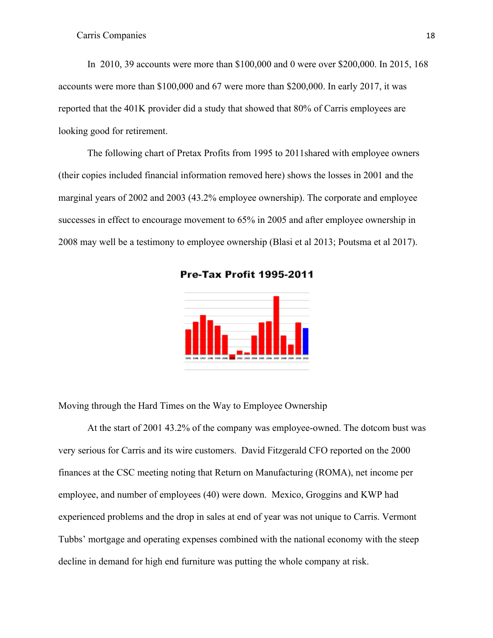In 2010, 39 accounts were more than \$100,000 and 0 were over \$200,000. In 2015, 168 accounts were more than \$100,000 and 67 were more than \$200,000. In early 2017, it was reported that the 401K provider did a study that showed that 80% of Carris employees are looking good for retirement.

The following chart of Pretax Profits from 1995 to 2011shared with employee owners (their copies included financial information removed here) shows the losses in 2001 and the marginal years of 2002 and 2003 (43.2% employee ownership). The corporate and employee successes in effect to encourage movement to 65% in 2005 and after employee ownership in 2008 may well be a testimony to employee ownership (Blasi et al 2013; Poutsma et al 2017).

**Pre-Tax Profit 1995-2011** 



Moving through the Hard Times on the Way to Employee Ownership

At the start of 2001 43.2% of the company was employee-owned. The dotcom bust was very serious for Carris and its wire customers. David Fitzgerald CFO reported on the 2000 finances at the CSC meeting noting that Return on Manufacturing (ROMA), net income per employee, and number of employees (40) were down. Mexico, Groggins and KWP had experienced problems and the drop in sales at end of year was not unique to Carris. Vermont Tubbs' mortgage and operating expenses combined with the national economy with the steep decline in demand for high end furniture was putting the whole company at risk.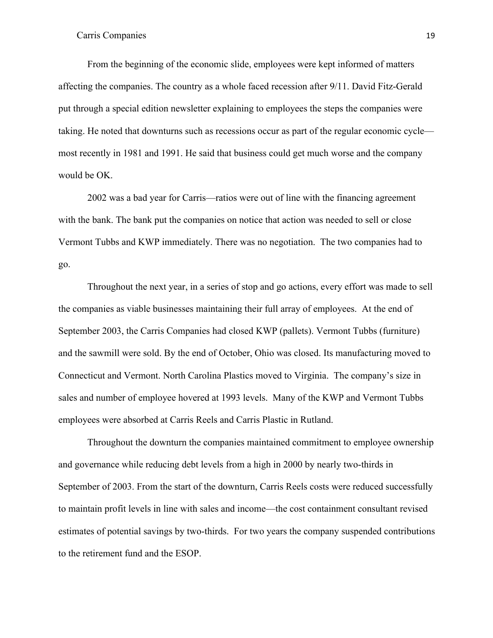From the beginning of the economic slide, employees were kept informed of matters affecting the companies. The country as a whole faced recession after 9/11. David Fitz-Gerald put through a special edition newsletter explaining to employees the steps the companies were taking. He noted that downturns such as recessions occur as part of the regular economic cycle most recently in 1981 and 1991. He said that business could get much worse and the company would be OK.

2002 was a bad year for Carris—ratios were out of line with the financing agreement with the bank. The bank put the companies on notice that action was needed to sell or close Vermont Tubbs and KWP immediately. There was no negotiation. The two companies had to go.

Throughout the next year, in a series of stop and go actions, every effort was made to sell the companies as viable businesses maintaining their full array of employees. At the end of September 2003, the Carris Companies had closed KWP (pallets). Vermont Tubbs (furniture) and the sawmill were sold. By the end of October, Ohio was closed. Its manufacturing moved to Connecticut and Vermont. North Carolina Plastics moved to Virginia. The company's size in sales and number of employee hovered at 1993 levels. Many of the KWP and Vermont Tubbs employees were absorbed at Carris Reels and Carris Plastic in Rutland.

Throughout the downturn the companies maintained commitment to employee ownership and governance while reducing debt levels from a high in 2000 by nearly two-thirds in September of 2003. From the start of the downturn, Carris Reels costs were reduced successfully to maintain profit levels in line with sales and income—the cost containment consultant revised estimates of potential savings by two-thirds. For two years the company suspended contributions to the retirement fund and the ESOP.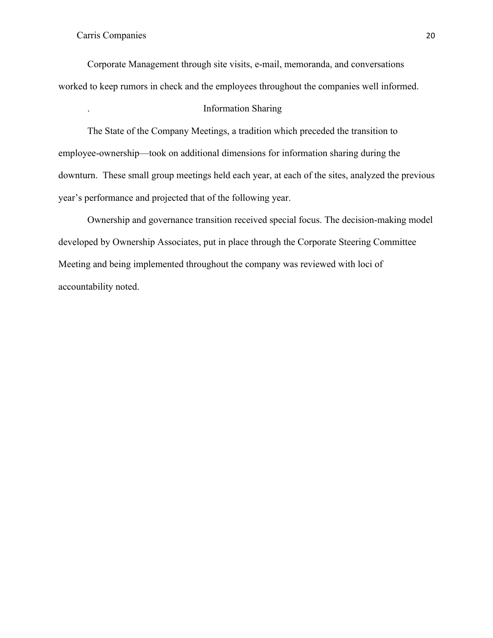Corporate Management through site visits, e-mail, memoranda, and conversations worked to keep rumors in check and the employees throughout the companies well informed.

# . Information Sharing

The State of the Company Meetings, a tradition which preceded the transition to employee-ownership—took on additional dimensions for information sharing during the downturn. These small group meetings held each year, at each of the sites, analyzed the previous year's performance and projected that of the following year.

Ownership and governance transition received special focus. The decision-making model developed by Ownership Associates, put in place through the Corporate Steering Committee Meeting and being implemented throughout the company was reviewed with loci of accountability noted.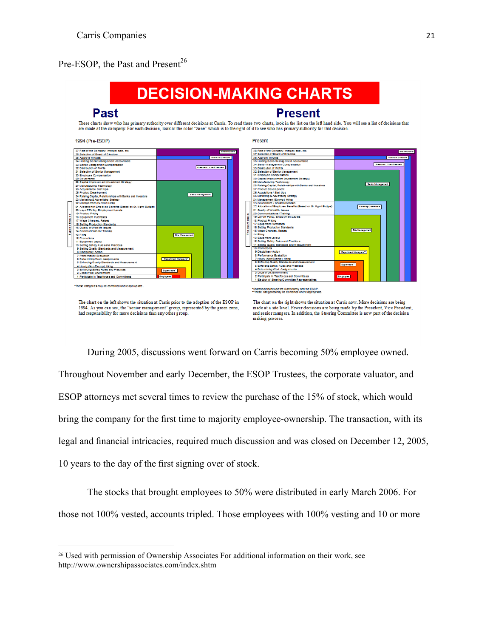# Pre-ESOP, the Past and Present<sup>26</sup>



During 2005, discussions went forward on Carris becoming 50% employee owned. Throughout November and early December, the ESOP Trustees, the corporate valuator, and ESOP attorneys met several times to review the purchase of the 15% of stock, which would bring the company for the first time to majority employee-ownership. The transaction, with its legal and financial intricacies, required much discussion and was closed on December 12, 2005, 10 years to the day of the first signing over of stock.

The stocks that brought employees to 50% were distributed in early March 2006. For those not 100% vested, accounts tripled. Those employees with 100% vesting and 10 or more

<u> 1989 - Johann Barn, mars ann an t-Amhain an t-Amhain an t-Amhain an t-Amhain an t-Amhain an t-Amhain an t-Amh</u>

<sup>26</sup> Used with permission of Ownership Associates For additional information on their work, see http://www.ownershipassociates.com/index.shtm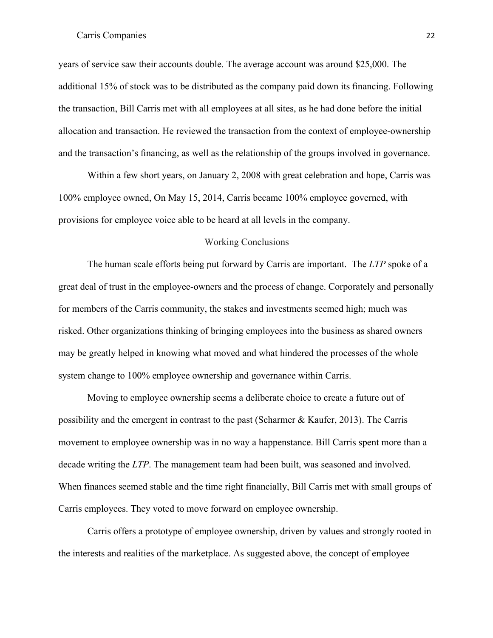years of service saw their accounts double. The average account was around \$25,000. The additional 15% of stock was to be distributed as the company paid down its financing. Following the transaction, Bill Carris met with all employees at all sites, as he had done before the initial allocation and transaction. He reviewed the transaction from the context of employee-ownership and the transaction's financing, as well as the relationship of the groups involved in governance.

Within a few short years, on January 2, 2008 with great celebration and hope, Carris was 100% employee owned, On May 15, 2014, Carris became 100% employee governed, with provisions for employee voice able to be heard at all levels in the company.

#### Working Conclusions

The human scale efforts being put forward by Carris are important. The *LTP* spoke of a great deal of trust in the employee-owners and the process of change. Corporately and personally for members of the Carris community, the stakes and investments seemed high; much was risked. Other organizations thinking of bringing employees into the business as shared owners may be greatly helped in knowing what moved and what hindered the processes of the whole system change to 100% employee ownership and governance within Carris.

Moving to employee ownership seems a deliberate choice to create a future out of possibility and the emergent in contrast to the past (Scharmer & Kaufer, 2013). The Carris movement to employee ownership was in no way a happenstance. Bill Carris spent more than a decade writing the *LTP*. The management team had been built, was seasoned and involved. When finances seemed stable and the time right financially, Bill Carris met with small groups of Carris employees. They voted to move forward on employee ownership.

Carris offers a prototype of employee ownership, driven by values and strongly rooted in the interests and realities of the marketplace. As suggested above, the concept of employee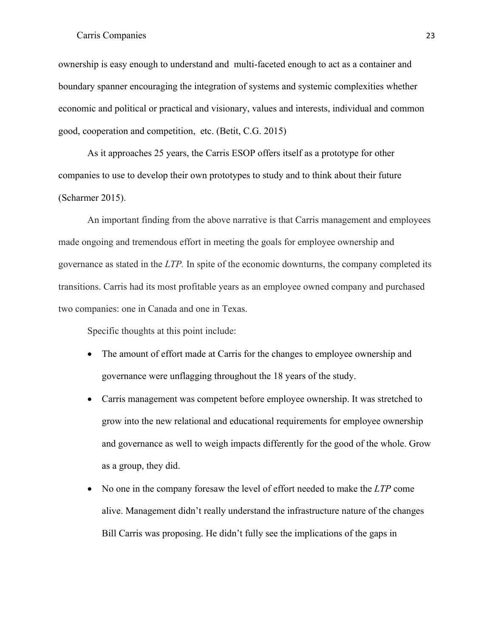ownership is easy enough to understand and multi-faceted enough to act as a container and boundary spanner encouraging the integration of systems and systemic complexities whether economic and political or practical and visionary, values and interests, individual and common good, cooperation and competition, etc. (Betit, C.G. 2015)

As it approaches 25 years, the Carris ESOP offers itself as a prototype for other companies to use to develop their own prototypes to study and to think about their future (Scharmer 2015).

An important finding from the above narrative is that Carris management and employees made ongoing and tremendous effort in meeting the goals for employee ownership and governance as stated in the *LTP.* In spite of the economic downturns, the company completed its transitions. Carris had its most profitable years as an employee owned company and purchased two companies: one in Canada and one in Texas.

Specific thoughts at this point include:

- The amount of effort made at Carris for the changes to employee ownership and governance were unflagging throughout the 18 years of the study.
- Carris management was competent before employee ownership. It was stretched to grow into the new relational and educational requirements for employee ownership and governance as well to weigh impacts differently for the good of the whole. Grow as a group, they did.
- No one in the company foresaw the level of effort needed to make the *LTP* come alive. Management didn't really understand the infrastructure nature of the changes Bill Carris was proposing. He didn't fully see the implications of the gaps in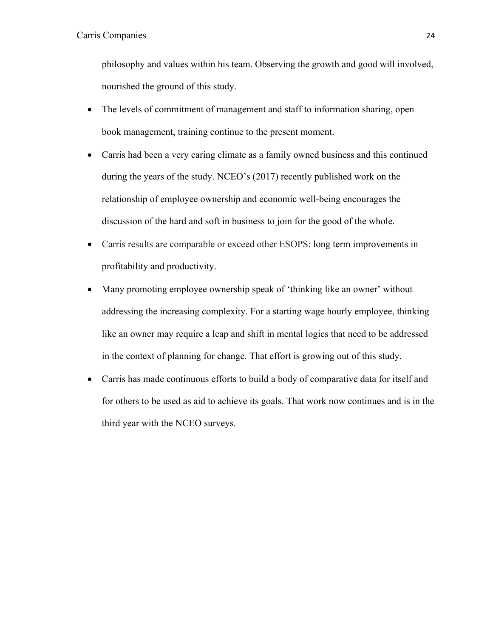philosophy and values within his team. Observing the growth and good will involved, nourished the ground of this study.

- The levels of commitment of management and staff to information sharing, open book management, training continue to the present moment.
- Carris had been a very caring climate as a family owned business and this continued during the years of the study. NCEO's (2017) recently published work on the relationship of employee ownership and economic well-being encourages the discussion of the hard and soft in business to join for the good of the whole.
- Carris results are comparable or exceed other ESOPS: long term improvements in profitability and productivity.
- Many promoting employee ownership speak of 'thinking like an owner' without addressing the increasing complexity. For a starting wage hourly employee, thinking like an owner may require a leap and shift in mental logics that need to be addressed in the context of planning for change. That effort is growing out of this study.
- Carris has made continuous efforts to build a body of comparative data for itself and for others to be used as aid to achieve its goals. That work now continues and is in the third year with the NCEO surveys.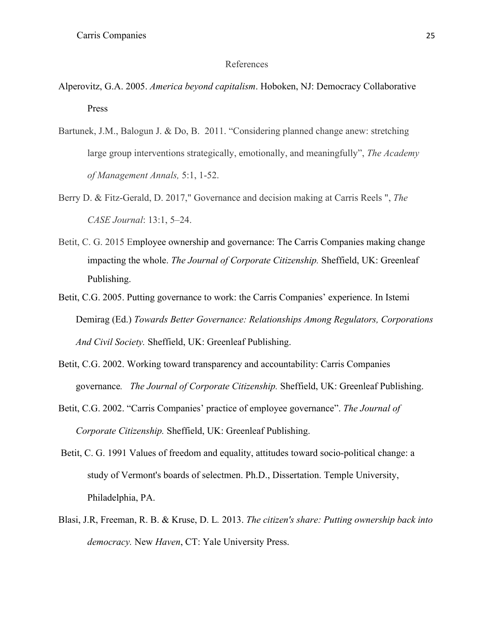#### References

- Alperovitz, G.A. 2005. *America beyond capitalism*. Hoboken, NJ: Democracy Collaborative Press
- Bartunek, J.M., Balogun J. & Do, B. 2011. "Considering planned change anew: stretching large group interventions strategically, emotionally, and meaningfully", *The Academy of Management Annals,* 5:1, 1-52.
- Berry D. & Fitz-Gerald, D. 2017," Governance and decision making at Carris Reels ", *The CASE Journal*: 13:1, 5–24.
- Betit, C. G. 2015 Employee ownership and governance: The Carris Companies making change impacting the whole. *The Journal of Corporate Citizenship.* Sheffield, UK: Greenleaf Publishing.
- Betit, C.G. 2005. Putting governance to work: the Carris Companies' experience. In Istemi Demirag (Ed.) *Towards Better Governance: Relationships Among Regulators, Corporations And Civil Society.* Sheffield, UK: Greenleaf Publishing.
- Betit, C.G. 2002. Working toward transparency and accountability: Carris Companies governance*. The Journal of Corporate Citizenship.* Sheffield, UK: Greenleaf Publishing.
- Betit, C.G. 2002. "Carris Companies' practice of employee governance". *The Journal of Corporate Citizenship.* Sheffield, UK: Greenleaf Publishing.
- Betit, C. G. 1991 Values of freedom and equality, attitudes toward socio-political change: a study of Vermont's boards of selectmen. Ph.D., Dissertation. Temple University, Philadelphia, PA.
- Blasi, J.R, Freeman, R. B. & Kruse, D. L*.* 2013. *The citizen's share: Putting ownership back into democracy.* New *Haven*, CT: Yale University Press.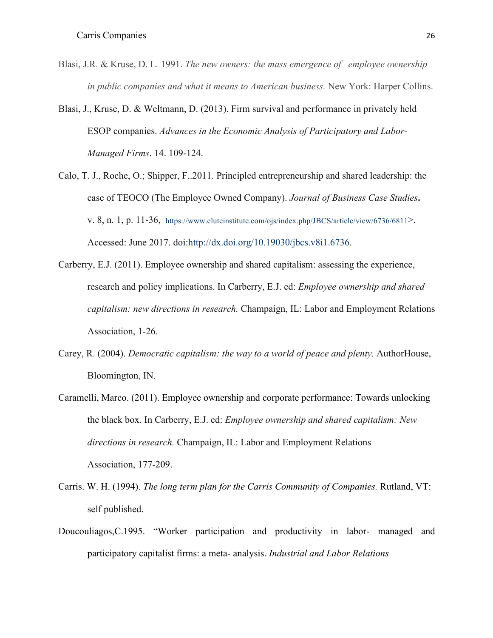- Blasi, J.R. & Kruse, D. L*.* 1991. *The new owners: the mass emergence of employee ownership in public companies and what it means to American business.* New York: Harper Collins.
- Blasi, J., Kruse, D. & Weltmann, D. (2013). Firm survival and performance in privately held ESOP companies. *Advances in the Economic Analysis of Participatory and Labor-Managed Firms*. 14. 109-124.
- Calo, T. J., Roche, O.; Shipper, F..2011. Principled entrepreneurship and shared leadership: the case of TEOCO (The Employee Owned Company). *Journal of Business Case Studies***.** v. 8, n. 1, p. 11-36, https://www.cluteinstitute.com/ojs/index.php/JBCS/article/view/6736/6811>. Accessed: June 2017. doi:http://dx.doi.org/10.19030/jbcs.v8i1.6736.
- Carberry, E.J. (2011). Employee ownership and shared capitalism: assessing the experience, research and policy implications. In Carberry, E.J. ed: *Employee ownership and shared capitalism: new directions in research.* Champaign, IL: Labor and Employment Relations Association, 1-26.
- Carey, R. (2004). *Democratic capitalism: the way to a world of peace and plenty.* AuthorHouse, Bloomington, IN.
- Caramelli, Marco. (2011). Employee ownership and corporate performance: Towards unlocking the black box. In Carberry, E.J. ed: *Employee ownership and shared capitalism: New directions in research.* Champaign, IL: Labor and Employment Relations Association, 177-209.
- Carris. W. H. (1994). *The long term plan for the Carris Community of Companies.* Rutland, VT: self published.
- Doucouliagos,C.1995. "Worker participation and productivity in labor- managed and participatory capitalist firms: a meta- analysis. *Industrial and Labor Relations*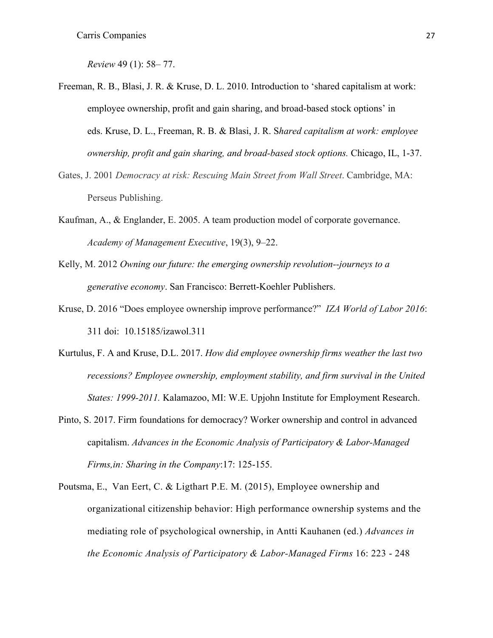*Review* 49 (1): 58– 77.

- Freeman, R. B., Blasi, J. R. & Kruse, D. L. 2010. Introduction to 'shared capitalism at work: employee ownership, profit and gain sharing, and broad-based stock options' in eds. Kruse, D. L., Freeman, R. B. & Blasi, J. R. S*hared capitalism at work: employee ownership, profit and gain sharing, and broad-based stock options.* Chicago, IL, 1-37.
- Gates, J. 2001 *Democracy at risk: Rescuing Main Street from Wall Street*. Cambridge, MA: Perseus Publishing.
- Kaufman, A., & Englander, E. 2005. A team production model of corporate governance. *Academy of Management Executive*, 19(3), 9–22.
- Kelly, M. 2012 *Owning our future: the emerging ownership revolution--journeys to a generative economy*. San Francisco: Berrett-Koehler Publishers.
- Kruse, D. 2016 "Does employee ownership improve performance?" *IZA World of Labor 2016*: 311 doi: 10.15185/izawol.311
- Kurtulus, F. A and Kruse, D.L. 2017. *How did employee ownership firms weather the last two recessions? Employee ownership, employment stability, and firm survival in the United States: 1999-2011.* Kalamazoo, MI: W.E. Upjohn Institute for Employment Research.
- Pinto, S. 2017. Firm foundations for democracy? Worker ownership and control in advanced capitalism. *Advances in the Economic Analysis of Participatory & Labor-Managed Firms,in: Sharing in the Company*:17: 125-155.
- Poutsma, E., Van Eert, C. & Ligthart P.E. M. (2015), Employee ownership and organizational citizenship behavior: High performance ownership systems and the mediating role of psychological ownership, in Antti Kauhanen (ed.) *Advances in the Economic Analysis of Participatory & Labor-Managed Firms* 16: 223 - 248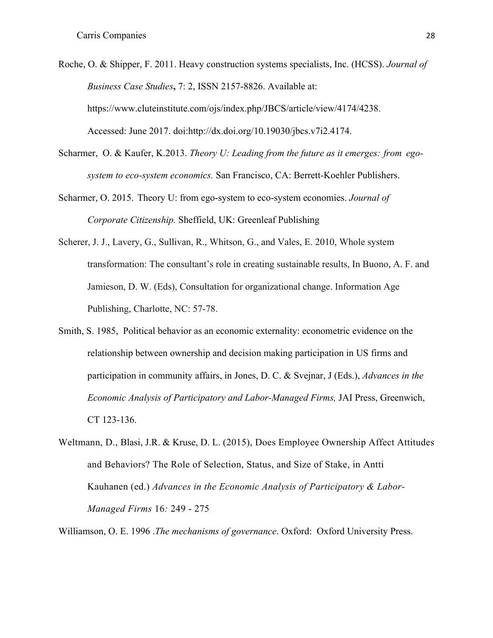- Roche, O. & Shipper, F. 2011. Heavy construction systems specialists, Inc. (HCSS). *Journal of Business Case Studies***,** 7: 2, ISSN 2157-8826. Available at: https://www.cluteinstitute.com/ojs/index.php/JBCS/article/view/4174/4238. Accessed: June 2017. doi:http://dx.doi.org/10.19030/jbcs.v7i2.4174.
- Scharmer, O. & Kaufer, K.2013. *Theory U: Leading from the future as it emerges: from egosystem to eco-system economics.* San Francisco, CA: Berrett-Koehler Publishers.
- Scharmer, O. 2015. Theory U: from ego-system to eco-system economies. *Journal of Corporate Citizenship.* Sheffield, UK: Greenleaf Publishing
- Scherer, J. J., Lavery, G., Sullivan, R., Whitson, G., and Vales, E. 2010, Whole system transformation: The consultant's role in creating sustainable results, In Buono, A. F. and Jamieson, D. W. (Eds), Consultation for organizational change. Information Age Publishing, Charlotte, NC: 57-78.
- Smith, S. 1985, Political behavior as an economic externality: econometric evidence on the relationship between ownership and decision making participation in US firms and participation in community affairs, in Jones, D. C. & Svejnar, J (Eds.), *Advances in the Economic Analysis of Participatory and Labor-Managed Firms,* JAI Press, Greenwich, CT 123-136.
- Weltmann, D., Blasi, J.R. & Kruse, D. L. (2015), Does Employee Ownership Affect Attitudes and Behaviors? The Role of Selection, Status, and Size of Stake, in Antti Kauhanen (ed.) *Advances in the Economic Analysis of Participatory & Labor-Managed Firms* 16*:* 249 - 275
- Williamson, O. E. 1996 .*The mechanisms of governance*. Oxford: Oxford University Press.